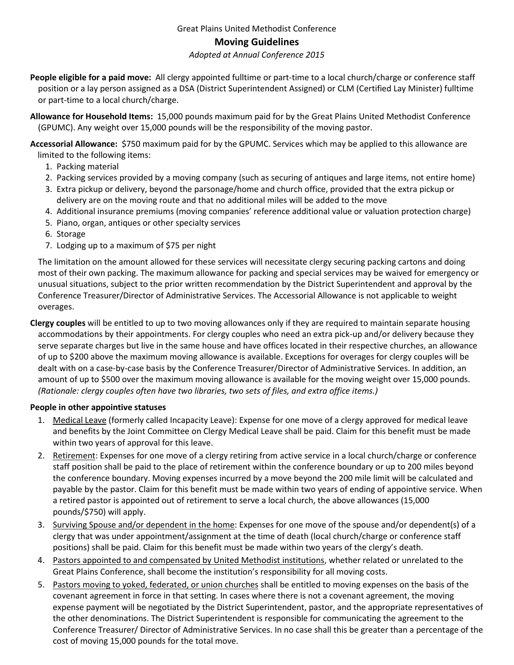# Moving Guidelines

#### Adopted at Annual Conference 2015

- People eligible for a paid move: All clergy appointed fulltime or part-time to a local church/charge or conference staff position or a lay person assigned as a DSA (District Superintendent Assigned) or CLM (Certified Lay Minister) fulltime or part-time to a local church/charge.
- Allowance for Household Items: 15,000 pounds maximum paid for by the Great Plains United Methodist Conference (GPUMC). Any weight over 15,000 pounds will be the responsibility of the moving pastor.

Accessorial Allowance: \$750 maximum paid for by the GPUMC. Services which may be applied to this allowance are limited to the following items:

- 1. Packing material
- 2. Packing services provided by a moving company (such as securing of antiques and large items, not entire home)
- 3. Extra pickup or delivery, beyond the parsonage/home and church office, provided that the extra pickup or delivery are on the moving route and that no additional miles will be added to the move
- 4. Additional insurance premiums (moving companies' reference additional value or valuation protection charge)
- 5. Piano, organ, antiques or other specialty services
- 6. Storage
- 7. Lodging up to a maximum of \$75 per night

The limitation on the amount allowed for these services will necessitate clergy securing packing cartons and doing most of their own packing. The maximum allowance for packing and special services may be waived for emergency or unusual situations, subject to the prior written recommendation by the District Superintendent and approval by the Conference Treasurer/Director of Administrative Services. The Accessorial Allowance is not applicable to weight overages.

Clergy couples will be entitled to up to two moving allowances only if they are required to maintain separate housing accommodations by their appointments. For clergy couples who need an extra pick-up and/or delivery because they serve separate charges but live in the same house and have offices located in their respective churches, an allowance of up to \$200 above the maximum moving allowance is available. Exceptions for overages for clergy couples will be dealt with on a case-by-case basis by the Conference Treasurer/Director of Administrative Services. In addition, an amount of up to \$500 over the maximum moving allowance is available for the moving weight over 15,000 pounds. (Rationale: clergy couples often have two libraries, two sets of files, and extra office items.)

### People in other appointive statuses

- 1. Medical Leave (formerly called Incapacity Leave): Expense for one move of a clergy approved for medical leave and benefits by the Joint Committee on Clergy Medical Leave shall be paid. Claim for this benefit must be made within two years of approval for this leave.
- 2. Retirement: Expenses for one move of a clergy retiring from active service in a local church/charge or conference staff position shall be paid to the place of retirement within the conference boundary or up to 200 miles beyond the conference boundary. Moving expenses incurred by a move beyond the 200 mile limit will be calculated and payable by the pastor. Claim for this benefit must be made within two years of ending of appointive service. When a retired pastor is appointed out of retirement to serve a local church, the above allowances (15,000 pounds/\$750) will apply.
- 3. Surviving Spouse and/or dependent in the home: Expenses for one move of the spouse and/or dependent(s) of a clergy that was under appointment/assignment at the time of death (local church/charge or conference staff positions) shall be paid. Claim for this benefit must be made within two years of the clergy's death.
- 4. Pastors appointed to and compensated by United Methodist institutions, whether related or unrelated to the Great Plains Conference, shall become the institution's responsibility for all moving costs.
- 5. Pastors moving to yoked, federated, or union churches shall be entitled to moving expenses on the basis of the covenant agreement in force in that setting. In cases where there is not a covenant agreement, the moving expense payment will be negotiated by the District Superintendent, pastor, and the appropriate representatives of the other denominations. The District Superintendent is responsible for communicating the agreement to the Conference Treasurer/ Director of Administrative Services. In no case shall this be greater than a percentage of the cost of moving 15,000 pounds for the total move.